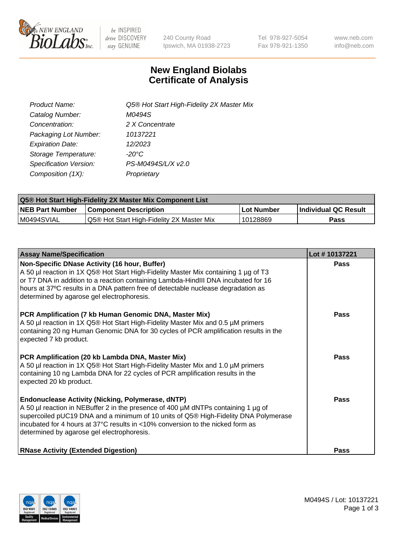

 $be$  INSPIRED drive DISCOVERY stay GENUINE

240 County Road Ipswich, MA 01938-2723 Tel 978-927-5054 Fax 978-921-1350 www.neb.com info@neb.com

## **New England Biolabs Certificate of Analysis**

| Product Name:           | Q5® Hot Start High-Fidelity 2X Master Mix |
|-------------------------|-------------------------------------------|
| Catalog Number:         | M0494S                                    |
| Concentration:          | 2 X Concentrate                           |
| Packaging Lot Number:   | 10137221                                  |
| <b>Expiration Date:</b> | 12/2023                                   |
| Storage Temperature:    | $-20^{\circ}$ C                           |
| Specification Version:  | PS-M0494S/L/X v2.0                        |
| Composition (1X):       | Proprietary                               |

| <b>Q5® Hot Start High-Fidelity 2X Master Mix Component List</b> |                                           |             |                      |  |  |
|-----------------------------------------------------------------|-------------------------------------------|-------------|----------------------|--|--|
| <b>NEB Part Number</b>                                          | Component Description_                    | ∣Lot Number | Individual QC Result |  |  |
| I M0494SVIAL                                                    | Q5® Hot Start High-Fidelity 2X Master Mix | 10128869    | Pass                 |  |  |

| <b>Assay Name/Specification</b>                                                                                                                                                                                                                                                                                                                                      | Lot #10137221 |
|----------------------------------------------------------------------------------------------------------------------------------------------------------------------------------------------------------------------------------------------------------------------------------------------------------------------------------------------------------------------|---------------|
| Non-Specific DNase Activity (16 hour, Buffer)<br>A 50 µl reaction in 1X Q5® Hot Start High-Fidelity Master Mix containing 1 µg of T3<br>or T7 DNA in addition to a reaction containing Lambda-HindIII DNA incubated for 16<br>hours at 37°C results in a DNA pattern free of detectable nuclease degradation as<br>determined by agarose gel electrophoresis.        | <b>Pass</b>   |
| PCR Amplification (7 kb Human Genomic DNA, Master Mix)<br>A 50 µl reaction in 1X Q5® Hot Start High-Fidelity Master Mix and 0.5 µM primers<br>containing 20 ng Human Genomic DNA for 30 cycles of PCR amplification results in the<br>expected 7 kb product.                                                                                                         | <b>Pass</b>   |
| PCR Amplification (20 kb Lambda DNA, Master Mix)<br>A 50 µl reaction in 1X Q5® Hot Start High-Fidelity Master Mix and 1.0 µM primers<br>containing 10 ng Lambda DNA for 22 cycles of PCR amplification results in the<br>expected 20 kb product.                                                                                                                     | <b>Pass</b>   |
| <b>Endonuclease Activity (Nicking, Polymerase, dNTP)</b><br>A 50 µl reaction in NEBuffer 2 in the presence of 400 µM dNTPs containing 1 µg of<br>supercoiled pUC19 DNA and a minimum of 10 units of Q5® High-Fidelity DNA Polymerase<br>incubated for 4 hours at 37°C results in <10% conversion to the nicked form as<br>determined by agarose gel electrophoresis. | Pass          |
| <b>RNase Activity (Extended Digestion)</b>                                                                                                                                                                                                                                                                                                                           | Pass          |

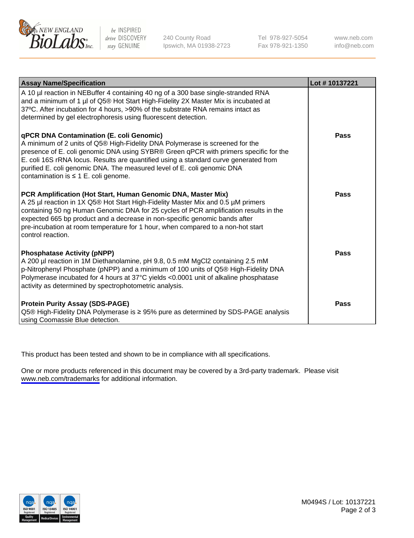

be INSPIRED drive DISCOVERY stay GENUINE

240 County Road Ipswich, MA 01938-2723 Tel 978-927-5054 Fax 978-921-1350

www.neb.com info@neb.com

| <b>Assay Name/Specification</b>                                                                                                                                                                                                                                                                                                                                                                                                  | Lot #10137221 |
|----------------------------------------------------------------------------------------------------------------------------------------------------------------------------------------------------------------------------------------------------------------------------------------------------------------------------------------------------------------------------------------------------------------------------------|---------------|
| A 10 µl reaction in NEBuffer 4 containing 40 ng of a 300 base single-stranded RNA<br>and a minimum of 1 µl of Q5® Hot Start High-Fidelity 2X Master Mix is incubated at<br>37°C. After incubation for 4 hours, >90% of the substrate RNA remains intact as<br>determined by gel electrophoresis using fluorescent detection.                                                                                                     |               |
| qPCR DNA Contamination (E. coli Genomic)<br>A minimum of 2 units of Q5® High-Fidelity DNA Polymerase is screened for the<br>presence of E. coli genomic DNA using SYBR® Green qPCR with primers specific for the<br>E. coli 16S rRNA locus. Results are quantified using a standard curve generated from<br>purified E. coli genomic DNA. The measured level of E. coli genomic DNA<br>contamination is $\leq 1$ E. coli genome. | Pass          |
| PCR Amplification (Hot Start, Human Genomic DNA, Master Mix)<br>A 25 µl reaction in 1X Q5® Hot Start High-Fidelity Master Mix and 0.5 µM primers<br>containing 50 ng Human Genomic DNA for 25 cycles of PCR amplification results in the<br>expected 665 bp product and a decrease in non-specific genomic bands after<br>pre-incubation at room temperature for 1 hour, when compared to a non-hot start<br>control reaction.   | Pass          |
| <b>Phosphatase Activity (pNPP)</b><br>A 200 µl reaction in 1M Diethanolamine, pH 9.8, 0.5 mM MgCl2 containing 2.5 mM<br>p-Nitrophenyl Phosphate (pNPP) and a minimum of 100 units of Q5® High-Fidelity DNA<br>Polymerase incubated for 4 hours at 37°C yields <0.0001 unit of alkaline phosphatase<br>activity as determined by spectrophotometric analysis.                                                                     | Pass          |
| <b>Protein Purity Assay (SDS-PAGE)</b><br>Q5® High-Fidelity DNA Polymerase is ≥ 95% pure as determined by SDS-PAGE analysis<br>using Coomassie Blue detection.                                                                                                                                                                                                                                                                   | Pass          |

This product has been tested and shown to be in compliance with all specifications.

One or more products referenced in this document may be covered by a 3rd-party trademark. Please visit <www.neb.com/trademarks>for additional information.